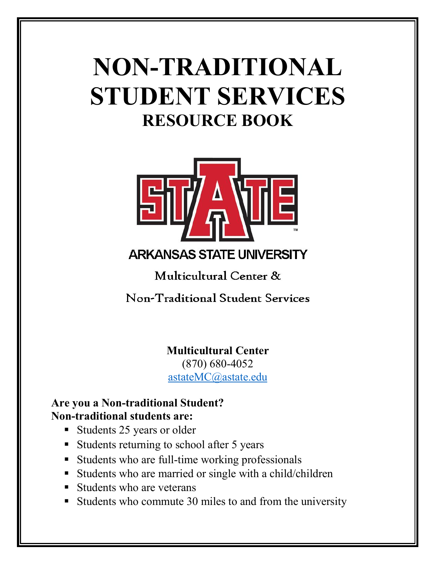# **NON-TRADITIONAL STUDENT SERVICES RESOURCE BOOK**



**ARKANSAS STATE UNIVERSITY** 

Multicultural Center &

Non-Traditional Student Services

**Multicultural Center**

(870) 680-4052 astateMC@astate.edu

## **Are you a Non-traditional Student? Non-traditional students are:**

- Students 25 years or older
- Students returning to school after 5 years
- § Students who are full-time working professionals
- Students who are married or single with a child/children
- Students who are veterans
- Students who commute 30 miles to and from the university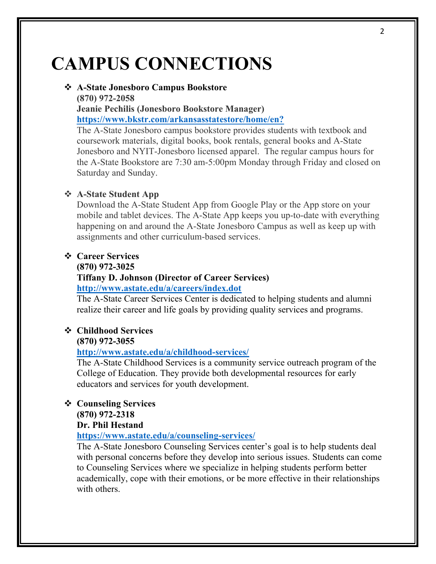## **CAMPUS CONNECTIONS**

### v **A-State Jonesboro Campus Bookstore**

**(870) 972-2058**

**Jeanie Pechilis (Jonesboro Bookstore Manager) https://www.bkstr.com/arkansasstatestore/home/en?**

The A-State Jonesboro campus bookstore provides students with textbook and coursework materials, digital books, book rentals, general books and A-State Jonesboro and NYIT-Jonesboro licensed apparel. The regular campus hours for the A-State Bookstore are 7:30 am-5:00pm Monday through Friday and closed on Saturday and Sunday.

#### v **A-State Student App**

Download the A-State Student App from Google Play or the App store on your mobile and tablet devices. The A-State App keeps you up-to-date with everything happening on and around the A-State Jonesboro Campus as well as keep up with assignments and other curriculum-based services.

#### v **Career Services**

#### **(870) 972-3025**

#### **Tiffany D. Johnson (Director of Career Services)**

**http://www.astate.edu/a/careers/index.dot**

The A-State Career Services Center is dedicated to helping students and alumni realize their career and life goals by providing quality services and programs.

## v **Childhood Services**

**(870) 972-3055** 

#### **http://www.astate.edu/a/childhood-services/**

The A-State Childhood Services is a community service outreach program of the College of Education. They provide both developmental resources for early educators and services for youth development.

### v **Counseling Services**

#### **(870) 972-2318**

#### **Dr. Phil Hestand**

#### **https://www.astate.edu/a/counseling-services/**

The A-State Jonesboro Counseling Services center's goal is to help students deal with personal concerns before they develop into serious issues. Students can come to Counseling Services where we specialize in helping students perform better academically, cope with their emotions, or be more effective in their relationships with others.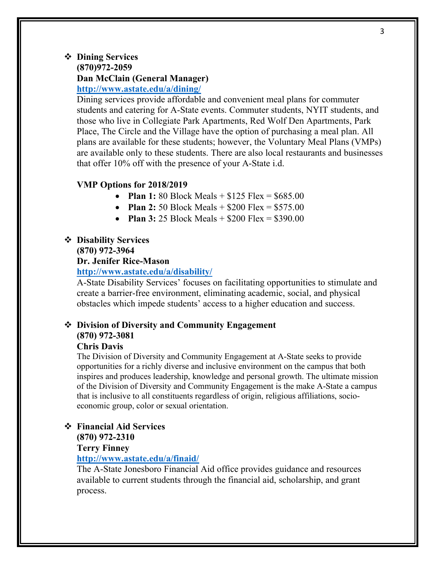#### v **Dining Services (870)972-2059 Dan McClain (General Manager) http://www.astate.edu/a/dining/**

Dining services provide affordable and convenient meal plans for commuter students and catering for A-State events. Commuter students, NYIT students, and those who live in Collegiate Park Apartments, Red Wolf Den Apartments, Park Place, The Circle and the Village have the option of purchasing a meal plan. All plans are available for these students; however, the Voluntary Meal Plans (VMPs) are available only to these students. There are also local restaurants and businesses that offer 10% off with the presence of your A-State i.d.

#### **VMP Options for 2018/2019**

- **Plan 1:** 80 Block Meals + \$125 Flex = \$685.00
- **Plan 2:** 50 Block Meals + \$200 Flex = \$575.00
- **Plan 3:** 25 Block Meals + \$200 Flex = \$390.00

#### v **Disability Services**

#### **(870) 972-3964**

#### **Dr. Jenifer Rice-Mason**

**http://www.astate.edu/a/disability/**

A-State Disability Services' focuses on facilitating opportunities to stimulate and create a barrier-free environment, eliminating academic, social, and physical obstacles which impede students' access to a higher education and success.

## v **Division of Diversity and Community Engagement (870) 972-3081**

#### **Chris Davis**

The Division of Diversity and Community Engagement at A-State seeks to provide opportunities for a richly diverse and inclusive environment on the campus that both inspires and produces leadership, knowledge and personal growth. The ultimate mission of the Division of Diversity and Community Engagement is the make A-State a campus that is inclusive to all constituents regardless of origin, religious affiliations, socioeconomic group, color or sexual orientation.

#### v **Financial Aid Services**

#### **(870) 972-2310**

#### **Terry Finney**

#### **http://www.astate.edu/a/finaid/**

The A-State Jonesboro Financial Aid office provides guidance and resources available to current students through the financial aid, scholarship, and grant process.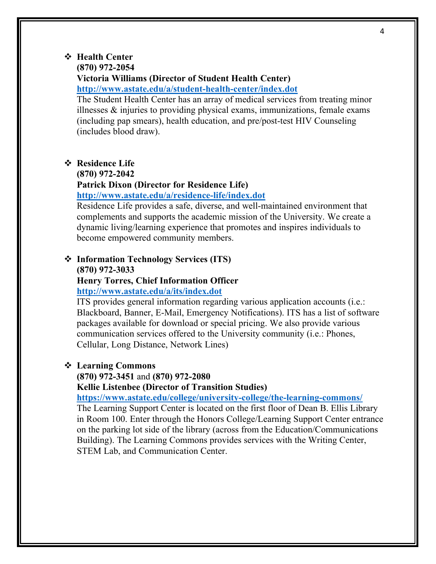#### v **Health Center**

#### **(870) 972-2054**

**Victoria Williams (Director of Student Health Center)**

**http://www.astate.edu/a/student-health-center/index.dot**

The Student Health Center has an array of medical services from treating minor illnesses & injuries to providing physical exams, immunizations, female exams (including pap smears), health education, and pre/post-test HIV Counseling (includes blood draw).

#### $\div$  **Residence Life**

### **(870) 972-2042**

#### **Patrick Dixon (Director for Residence Life)**

**http://www.astate.edu/a/residence-life/index.dot**

Residence Life provides a safe, diverse, and well-maintained environment that complements and supports the academic mission of the University. We create a dynamic living/learning experience that promotes and inspires individuals to become empowered community members.

### v **Information Technology Services (ITS) (870) 972-3033**

#### **Henry Torres, Chief Information Officer http://www.astate.edu/a/its/index.dot**

ITS provides general information regarding various application accounts (i.e.: Blackboard, Banner, E-Mail, Emergency Notifications). ITS has a list of software packages available for download or special pricing. We also provide various communication services offered to the University community (i.e.: Phones, Cellular, Long Distance, Network Lines)

#### v **Learning Commons**

#### **(870) 972-3451** and **(870) 972-2080**

**Kellie Listenbee (Director of Transition Studies)**

**https://www.astate.edu/college/university-college/the-learning-commons/**

The Learning Support Center is located on the first floor of Dean B. Ellis Library in Room 100. Enter through the Honors College/Learning Support Center entrance on the parking lot side of the library (across from the Education/Communications Building). The Learning Commons provides services with the Writing Center, STEM Lab, and Communication Center.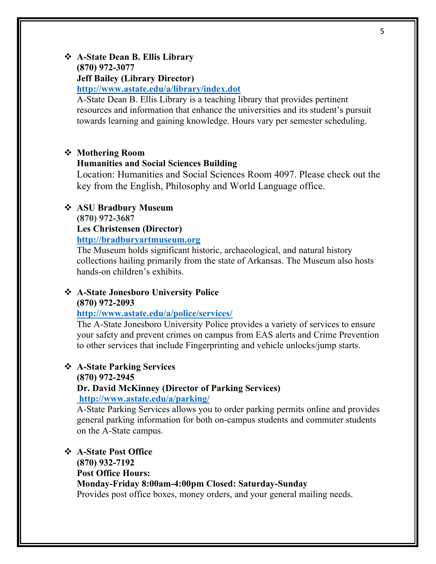#### v **A-State Dean B. Ellis Library (870) 972-3077**

#### **Jeff Bailey (Library Director)**

**http://www.astate.edu/a/library/index.dot**

A-State Dean B. Ellis Library is a teaching library that provides pertinent resources and information that enhance the universities and its student's pursuit towards learning and gaining knowledge. Hours vary per semester scheduling.

#### v **Mothering Room**

#### **Humanities and Social Sciences Building**

Location: Humanities and Social Sciences Room 4097. Please check out the key from the English, Philosophy and World Language office.

#### v **ASU Bradbury Museum**

**(870) 972-3687**

#### **Les Christensen (Director)**

**http://bradburyartmuseum.org**

The Museum holds significant historic, archaeological, and natural history collections hailing primarily from the state of Arkansas. The Museum also hosts hands-on children's exhibits.

#### v **A-State Jonesboro University Police (870) 972-2093**

#### **http://www.astate.edu/a/police/services/**

The A-State Jonesboro University Police provides a variety of services to ensure your safety and prevent crimes on campus from EAS alerts and Crime Prevention to other services that include Fingerprinting and vehicle unlocks/jump starts.

#### v **A-State Parking Services**

#### **(870) 972-2945**

### **Dr. David McKinney (Director of Parking Services)**

#### **http://www.astate.edu/a/parking/**

A-State Parking Services allows you to order parking permits online and provides general parking information for both on-campus students and commuter students on the A-State campus.

#### v **A-State Post Office (870) 932-7192**

#### **Post Office Hours:**

**Monday-Friday 8:00am-4:00pm Closed: Saturday-Sunday**

Provides post office boxes, money orders, and your general mailing needs.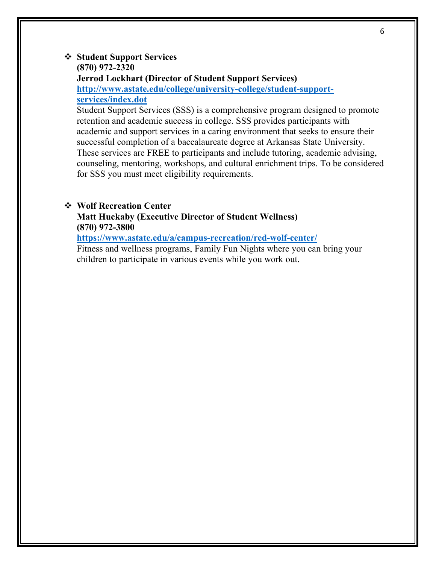#### v **Student Support Services (870) 972-2320 Jerrod Lockhart (Director of Student Support Services) http://www.astate.edu/college/university-college/student-support-**

**services/index.dot**

Student Support Services (SSS) is a comprehensive program designed to promote retention and academic success in college. SSS provides participants with academic and support services in a caring environment that seeks to ensure their successful completion of a baccalaureate degree at Arkansas State University. These services are FREE to participants and include tutoring, academic advising, counseling, mentoring, workshops, and cultural enrichment trips. To be considered for SSS you must meet eligibility requirements.

#### v **Wolf Recreation Center**

**Matt Huckaby (Executive Director of Student Wellness) (870) 972-3800** 

**https://www.astate.edu/a/campus-recreation/red-wolf-center/**

Fitness and wellness programs, Family Fun Nights where you can bring your children to participate in various events while you work out.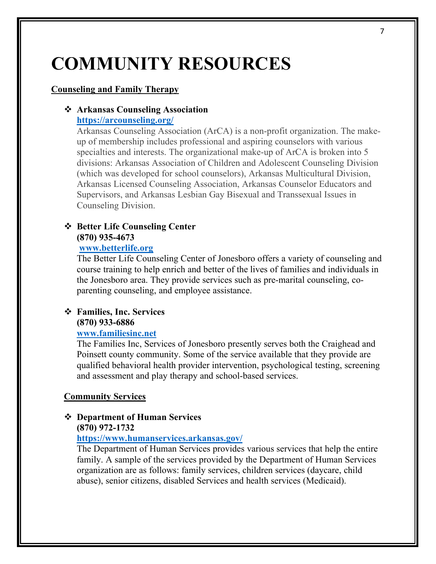## **COMMUNITY RESOURCES**

#### **Counseling and Family Therapy**

## v **Arkansas Counseling Association**

### **https://arcounseling.org/**

Arkansas Counseling Association (ArCA) is a non-profit organization. The makeup of membership includes professional and aspiring counselors with various specialties and interests. The organizational make-up of ArCA is broken into 5 divisions: Arkansas Association of Children and Adolescent Counseling Division (which was developed for school counselors), Arkansas Multicultural Division, Arkansas Licensed Counseling Association, Arkansas Counselor Educators and Supervisors, and Arkansas Lesbian Gay Bisexual and Transsexual Issues in Counseling Division.

#### v **Better Life Counseling Center (870) 935-4673**

#### **www.betterlife.org**

The Better Life Counseling Center of Jonesboro offers a variety of counseling and course training to help enrich and better of the lives of families and individuals in the Jonesboro area. They provide services such as pre-marital counseling, coparenting counseling, and employee assistance.

#### v **Families, Inc. Services (870) 933-6886**

#### **www.familiesinc.net**

The Families Inc, Services of Jonesboro presently serves both the Craighead and Poinsett county community. Some of the service available that they provide are qualified behavioral health provider intervention, psychological testing, screening and assessment and play therapy and school-based services.

#### **Community Services**

## v **Department of Human Services**

#### **(870) 972-1732**

#### **https://www.humanservices.arkansas.gov/**

The Department of Human Services provides various services that help the entire family. A sample of the services provided by the Department of Human Services organization are as follows: family services, children services (daycare, child abuse), senior citizens, disabled Services and health services (Medicaid).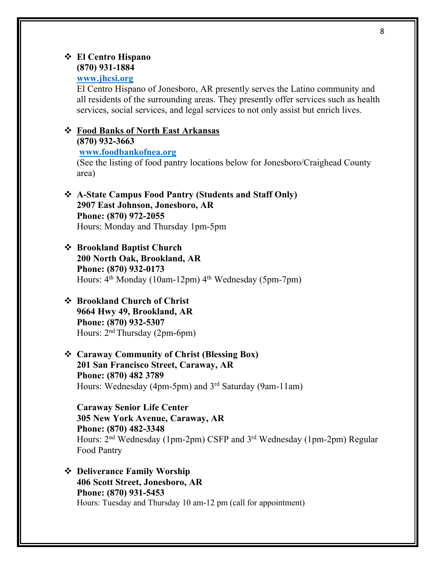#### v **El Centro Hispano (870) 931-1884**

#### **www.jhcsi.org**

El Centro Hispano of Jonesboro, AR presently serves the Latino community and all residents of the surrounding areas. They presently offer services such as health services, social services, and legal services to not only assist but enrich lives.

#### v **Food Banks of North East Arkansas**

**(870) 932-3663**

**www.foodbankofnea.org**

(See the listing of food pantry locations below for Jonesboro/Craighead County area)

v **A-State Campus Food Pantry (Students and Staff Only) 2907 East Johnson, Jonesboro, AR Phone: (870) 972-2055** Hours: Monday and Thursday 1pm-5pm

#### v **Brookland Baptist Church**

**200 North Oak, Brookland, AR Phone: (870) 932-0173** Hours:  $4^{th}$  Monday (10am-12pm)  $4^{th}$  Wednesday (5pm-7pm)

#### v **Brookland Church of Christ 9664 Hwy 49, Brookland, AR Phone: (870) 932-5307** Hours: 2nd Thursday (2pm-6pm)

v **Caraway Community of Christ (Blessing Box) 201 San Francisco Street, Caraway, AR Phone: (870) 482 3789** Hours: Wednesday (4pm-5pm) and 3rd Saturday (9am-11am)

**Caraway Senior Life Center 305 New York Avenue, Caraway, AR Phone: (870) 482-3348** Hours: 2nd Wednesday (1pm-2pm) CSFP and 3rd Wednesday (1pm-2pm) Regular Food Pantry

v **Deliverance Family Worship 406 Scott Street, Jonesboro, AR Phone: (870) 931-5453** Hours: Tuesday and Thursday 10 am-12 pm (call for appointment)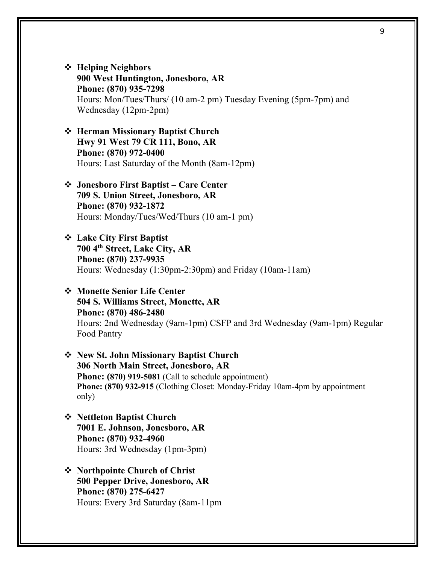- v **Helping Neighbors 900 West Huntington, Jonesboro, AR Phone: (870) 935-7298** Hours: Mon/Tues/Thurs/ (10 am-2 pm) Tuesday Evening (5pm-7pm) and Wednesday (12pm-2pm)
- v **Herman Missionary Baptist Church Hwy 91 West 79 CR 111, Bono, AR Phone: (870) 972-0400** Hours: Last Saturday of the Month (8am-12pm)
- v **Jonesboro First Baptist – Care Center 709 S. Union Street, Jonesboro, AR Phone: (870) 932-1872** Hours: Monday/Tues/Wed/Thurs (10 am-1 pm)
- v **Lake City First Baptist 700 4th Street, Lake City, AR Phone: (870) 237-9935** Hours: Wednesday (1:30pm-2:30pm) and Friday (10am-11am)
- v **Monette Senior Life Center 504 S. Williams Street, Monette, AR Phone: (870) 486-2480** Hours: 2nd Wednesday (9am-1pm) CSFP and 3rd Wednesday (9am-1pm) Regular Food Pantry
- v **New St. John Missionary Baptist Church 306 North Main Street, Jonesboro, AR Phone: (870) 919-5081** (Call to schedule appointment) **Phone: (870) 932-915** (Clothing Closet: Monday-Friday 10am-4pm by appointment only)
- v **Nettleton Baptist Church 7001 E. Johnson, Jonesboro, AR Phone: (870) 932-4960** Hours: 3rd Wednesday (1pm-3pm)
- v **Northpointe Church of Christ 500 Pepper Drive, Jonesboro, AR Phone: (870) 275-6427** Hours: Every 3rd Saturday (8am-11pm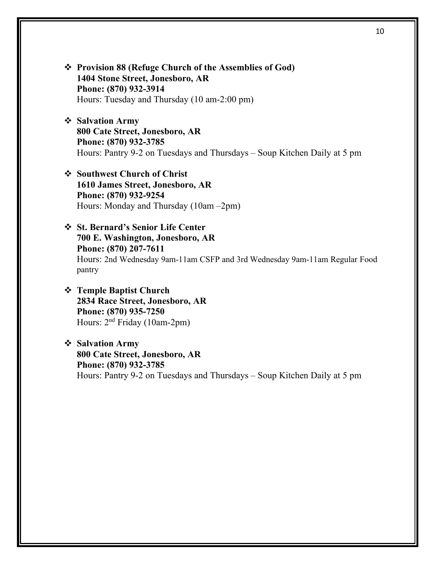- v **Provision 88 (Refuge Church of the Assemblies of God) 1404 Stone Street, Jonesboro, AR Phone: (870) 932-3914** Hours: Tuesday and Thursday (10 am-2:00 pm)
- v **Salvation Army 800 Cate Street, Jonesboro, AR Phone: (870) 932-3785** Hours: Pantry 9-2 on Tuesdays and Thursdays – Soup Kitchen Daily at 5 pm
- v **Southwest Church of Christ 1610 James Street, Jonesboro, AR Phone: (870) 932-9254** Hours: Monday and Thursday (10am –2pm)
- v **St. Bernard's Senior Life Center 700 E. Washington, Jonesboro, AR Phone: (870) 207-7611** Hours: 2nd Wednesday 9am-11am CSFP and 3rd Wednesday 9am-11am Regular Food pantry
- v **Temple Baptist Church 2834 Race Street, Jonesboro, AR Phone: (870) 935-7250** Hours: 2nd Friday (10am-2pm)
- v **Salvation Army 800 Cate Street, Jonesboro, AR Phone: (870) 932-3785** Hours: Pantry 9-2 on Tuesdays and Thursdays – Soup Kitchen Daily at 5 pm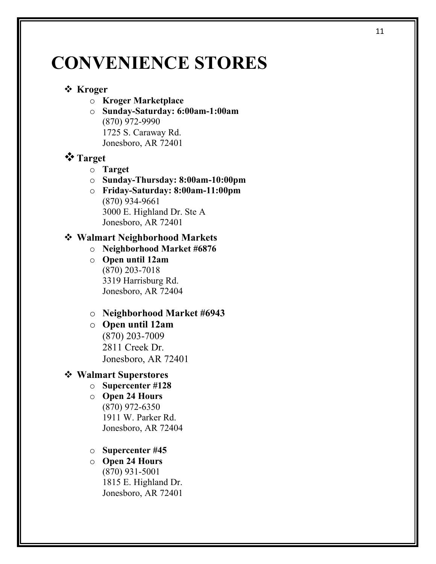## **CONVENIENCE STORES**

### v **Kroger**

- o **Kroger Marketplace**
- o **Sunday-Saturday: 6:00am-1:00am** (870) 972-9990 1725 S. Caraway Rd. Jonesboro, AR 72401

### v**Target**

- o **Target**
- o **Sunday-Thursday: 8:00am-10:00pm**
- o **Friday-Saturday: 8:00am-11:00pm** (870) 934-9661 3000 E. Highland Dr. Ste A Jonesboro, AR 72401

#### v **Walmart Neighborhood Markets**

- o **Neighborhood Market #6876**
- o **Open until 12am**  (870) 203-7018 3319 Harrisburg Rd. Jonesboro, AR 72404
- o **Neighborhood Market #6943**
- o **Open until 12am** (870) 203-7009 2811 Creek Dr. Jonesboro, AR 72401

#### v **Walmart Superstores**

- o **Supercenter #128**
- o **Open 24 Hours** (870) 972-6350 1911 W. Parker Rd. Jonesboro, AR 72404
- o **Supercenter #45**

## o **Open 24 Hours**

(870) 931-5001 1815 E. Highland Dr. Jonesboro, AR 72401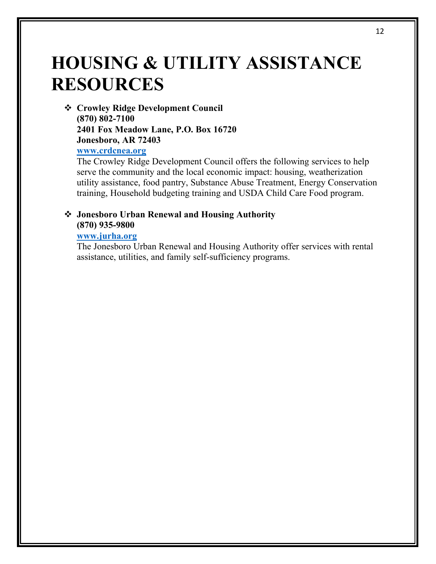## **HOUSING & UTILITY ASSISTANCE RESOURCES**

v **Crowley Ridge Development Council (870) 802-7100 2401 Fox Meadow Lane, P.O. Box 16720 Jonesboro, AR 72403 www.crdcnea.org**

The Crowley Ridge Development Council offers the following services to help serve the community and the local economic impact: housing, weatherization utility assistance, food pantry, Substance Abuse Treatment, Energy Conservation training, Household budgeting training and USDA Child Care Food program.

#### v **Jonesboro Urban Renewal and Housing Authority (870) 935-9800**

#### **www.jurha.org**

The Jonesboro Urban Renewal and Housing Authority offer services with rental assistance, utilities, and family self-sufficiency programs.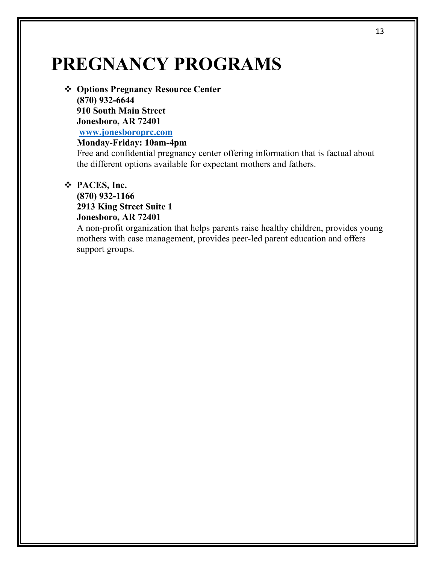## **PREGNANCY PROGRAMS**

v **Options Pregnancy Resource Center (870) 932-6644 910 South Main Street Jonesboro, AR 72401 www.jonesboroprc.com**

### **Monday-Friday: 10am-4pm**

Free and confidential pregnancy center offering information that is factual about the different options available for expectant mothers and fathers.

#### v **PACES, Inc.**

**(870) 932-1166 2913 King Street Suite 1 Jonesboro, AR 72401**

A non-profit organization that helps parents raise healthy children, provides young mothers with case management, provides peer-led parent education and offers support groups.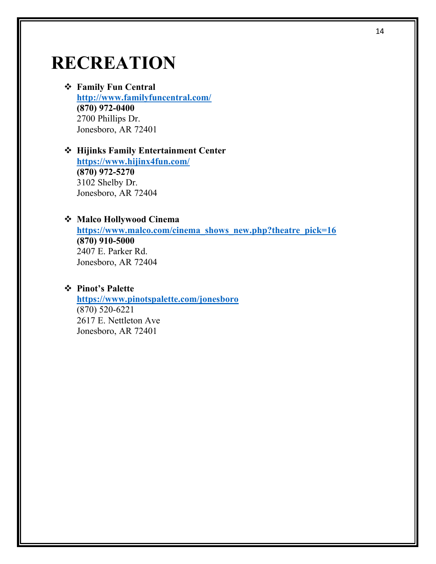## **RECREATION**

v **Family Fun Central http://www.familyfuncentral.com/ (870) 972-0400** 2700 Phillips Dr. Jonesboro, AR 72401

#### v **Hijinks Family Entertainment Center https://www.hijinx4fun.com/ (870) 972-5270** 3102 Shelby Dr. Jonesboro, AR 72404

#### v **Malco Hollywood Cinema**

**https://www.malco.com/cinema\_shows\_new.php?theatre\_pick=16 (870) 910-5000** 2407 E. Parker Rd. Jonesboro, AR 72404

#### v **Pinot's Palette**

**https://www.pinotspalette.com/jonesboro** (870) 520-6221 2617 E. Nettleton Ave Jonesboro, AR 72401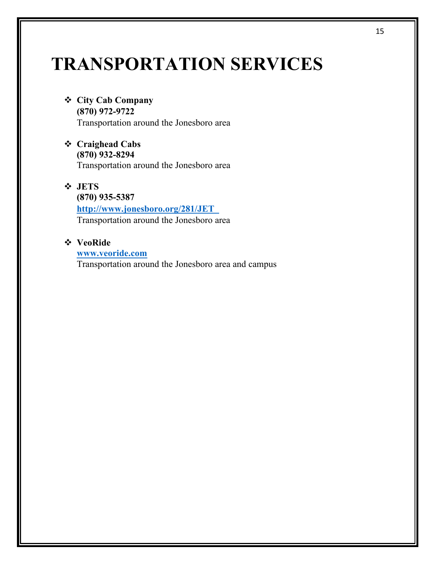## **TRANSPORTATION SERVICES**

- v **City Cab Company (870) 972-9722**  Transportation around the Jonesboro area
- v **Craighead Cabs (870) 932-8294** Transportation around the Jonesboro area
- v **JETS (870) 935-5387 http://www.jonesboro.org/281/JET** Transportation around the Jonesboro area
- v **VeoRide**
	- **www.veoride.com**

Transportation around the Jonesboro area and campus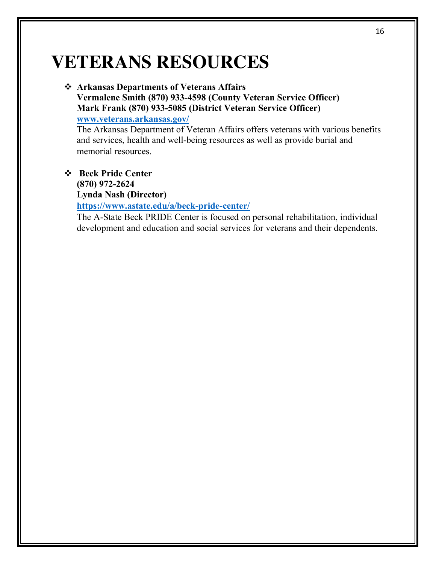## **VETERANS RESOURCES**

#### v **Arkansas Departments of Veterans Affairs Vermalene Smith (870) 933-4598 (County Veteran Service Officer)**

**Mark Frank (870) 933-5085 (District Veteran Service Officer)**

**www.veterans.arkansas.gov/**

The Arkansas Department of Veteran Affairs offers veterans with various benefits and services, health and well-being resources as well as provide burial and memorial resources.

### v **Beck Pride Center (870) 972-2624 Lynda Nash (Director)**

 **https://www.astate.edu/a/beck-pride-center/**

 The A-State Beck PRIDE Center is focused on personal rehabilitation, individual development and education and social services for veterans and their dependents.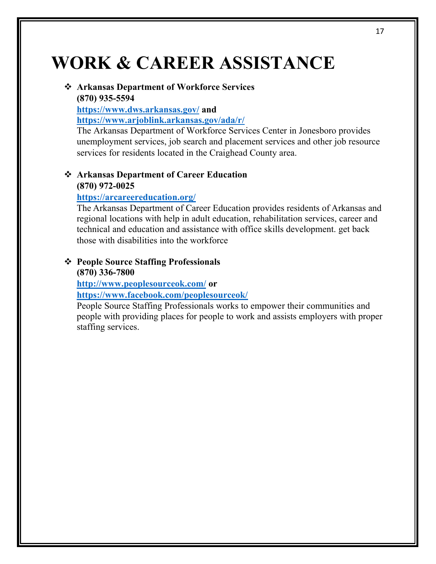## **WORK & CAREER ASSISTANCE**

#### v **Arkansas Department of Workforce Services (870) 935-5594**

**https://www.dws.arkansas.gov/ and https://www.arjoblink.arkansas.gov/ada/r/**

The Arkansas Department of Workforce Services Center in Jonesboro provides unemployment services, job search and placement services and other job resource services for residents located in the Craighead County area.

#### v **Arkansas Department of Career Education (870) 972-0025**

#### **https://arcareereducation.org/**

The Arkansas Department of Career Education provides residents of Arkansas and regional locations with help in adult education, rehabilitation services, career and technical and education and assistance with office skills development. get back those with disabilities into the workforce

#### v **People Source Staffing Professionals (870) 336-7800**

**http://www.peoplesourceok.com/ or** 

**https://www.facebook.com/peoplesourceok/**

People Source Staffing Professionals works to empower their communities and people with providing places for people to work and assists employers with proper staffing services.